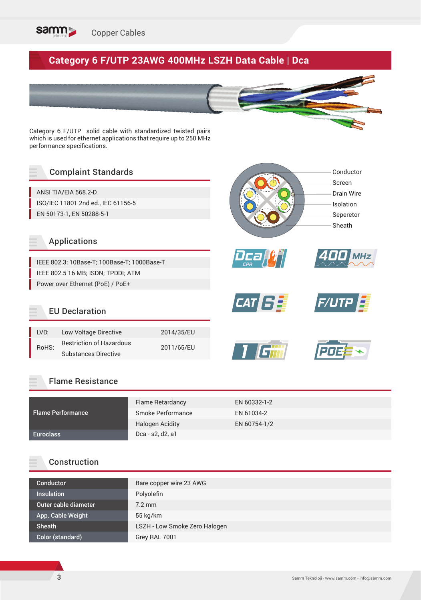

# **Category 6 F/UTP 23AWG 400MHz LSZH Data Cable | Dca**

Category 6 F/UTP solid cable with standardized twisted pairs which is used for ethernet applications that require up to 250 MHz performance specifications.

### Complaint Standards

ANSI TIA/EIA 568.2-D ISO/IEC 11801 2nd ed., IEC 61156-5 EN 50173-1, EN 50288-5-1

#### Applications

IEEE 802.3: 10Base-T; 100Base-T; 1000Base-T IEEE 802.5 16 MB; ISDN; TPDDI; ATM Power over Ethernet (PoE) / PoE+

### EU Declaration

| LVD:  | Low Voltage Directive           | 2014/35/EU |  |  |
|-------|---------------------------------|------------|--|--|
| RoHS: | <b>Restriction of Hazardous</b> | 2011/65/EU |  |  |
|       | <b>Substances Directive</b>     |            |  |  |















#### Flame Resistance

|                          | Flame Retardancy       | EN 60332-1-2 |
|--------------------------|------------------------|--------------|
| <b>Flame Performance</b> | Smoke Performance      | EN 61034-2   |
|                          | <b>Halogen Acidity</b> | EN 60754-1/2 |
| Euroclass                | Dca - s2, d2, a1       |              |

#### Construction

| Bare copper wire 23 AWG       |
|-------------------------------|
| Polyolefin                    |
| $7.2 \text{ mm}$              |
| $55$ kg/km                    |
| LSZH - Low Smoke Zero Halogen |
| Grey RAL 7001                 |
|                               |